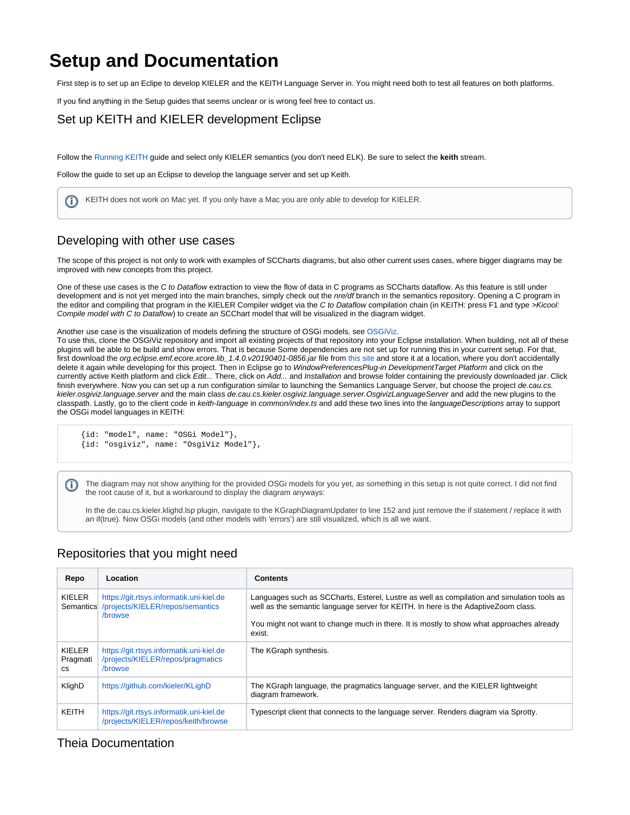# **Setup and Documentation**

First step is to set up an Eclipe to develop KIELER and the KEITH Language Server in. You might need both to test all features on both platforms.

If you find anything in the Setup guides that seems unclear or is wrong feel free to contact us.

#### Set up KEITH and KIELER development Eclipse

Follow the [Running KEITH](https://rtsys.informatik.uni-kiel.de/confluence/display/KIELER/Running+KEITH) guide and select only KIELER semantics (you don't need ELK). Be sure to select the **keith** stream.

Follow the guide to set up an Eclipse to develop the language server and set up Keith.

KEITH does not work on Mac yet. If you only have a Mac you are only able to develop for KIELER. (i)

## Developing with other use cases

The scope of this project is not only to work with examples of SCCharts diagrams, but also other current uses cases, where bigger diagrams may be improved with new concepts from this project.

One of these use cases is the C to Dataflow extraction to view the flow of data in C programs as SCCharts dataflow. As this feature is still under development and is not yet merged into the main branches, simply check out the nre/df branch in the semantics repository. Opening a C program in the editor and compiling that program in the KIELER Compiler widget via the C to Dataflow compilation chain (in KEITH: press F1 and type >Kicool: Compile model with C to Dataflow) to create an SCChart model that will be visualized in the diagram widget.

Another use case is the visualization of models defining the structure of OSGi models, see [OSGiViz.](https://github.com/kieler/osgiviz)

To use this, clone the OSGiViz repository and import all existing projects of that repository into your Eclipse installation. When building, not all of these plugins will be able to be build and show errors. That is because Some dependencies are not set up for running this in your current setup. For that, first download the org.eclipse.emf.ecore.xcore.lib\_1.4.0.v20190401-0856.jar file from [this site](https://download.eclipse.org/releases/2020-06/202006171000/plugins/) and store it at a location, where you don't accidentally delete it again while developing for this project. Then in Eclipse go to WindowPreferencesPlug-in DevelopmentTarget Platform and click on the currently active Keith platform and click Edit... There, click on Add... and Installation and browse folder containing the previously downloaded jar. Click finish everywhere. Now you can set up a run configuration similar to launching the Semantics Language Server, but choose the project de.cau.cs. kieler.osgiviz.language.server and the main class de.cau.cs.kieler.osgiviz.language.server.OsgivizLanguageServer and add the new plugins to the classpath. Lastly, go to the client code in keith-language in common/index.ts and add these two lines into the languageDescriptions array to support the OSGi model languages in KEITH:

```
 {id: "model", name: "OSGi Model"},
{id: "osgiviz", name: "OsgiViz Model"},
```
The diagram may not show anything for the provided OSGi models for you yet, as something in this setup is not quite correct. I did not find (i) the root cause of it, but a workaround to display the diagram anyways:

In the de.cau.cs.kieler.klighd.lsp plugin, navigate to the KGraphDiagramUpdater to line 152 and just remove the if statement / replace it with an if(true). Now OSGi models (and other models with 'errors') are still visualized, which is all we want.

## Repositories that you might need

| Repo                            | Location                                                                                 | <b>Contents</b>                                                                                                                                                                                                                                                                        |
|---------------------------------|------------------------------------------------------------------------------------------|----------------------------------------------------------------------------------------------------------------------------------------------------------------------------------------------------------------------------------------------------------------------------------------|
| KIELER<br>Semantics             | https://git.rtsys.informatik.uni-kiel.de<br>/projects/KIELER/repos/semantics<br>/browse  | Languages such as SCCharts, Esterel, Lustre as well as compilation and simulation tools as<br>well as the semantic language server for KEITH. In here is the AdaptiveZoom class.<br>You might not want to change much in there. It is mostly to show what approaches already<br>exist. |
| KIELER<br>Pragmati<br><b>CS</b> | https://git.rtsys.informatik.uni-kiel.de<br>/projects/KIELER/repos/pragmatics<br>/browse | The KGraph synthesis.                                                                                                                                                                                                                                                                  |
| KlighD                          | https://github.com/kieler/KLighD                                                         | The KGraph language, the pragmatics language server, and the KIELER lightweight<br>diagram framework.                                                                                                                                                                                  |
| KEITH                           | https://git.rtsys.informatik.uni-kiel.de<br>/projects/KIELER/repos/keith/browse          | Typescript client that connects to the language server. Renders diagram via Sprotty.                                                                                                                                                                                                   |

## Theia Documentation